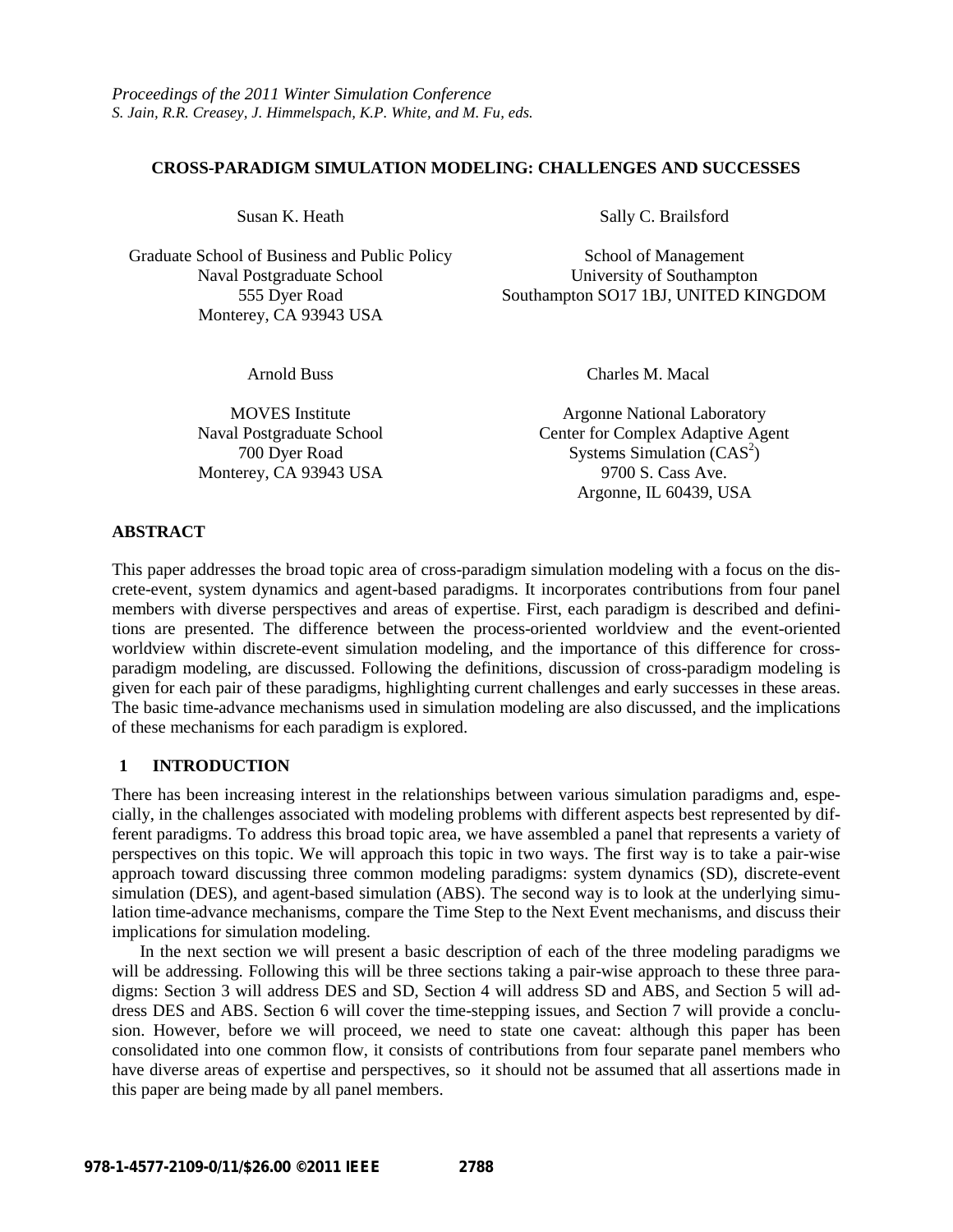### **CROSS-PARADIGM SIMULATION MODELING: CHALLENGES AND SUCCESSES**

Graduate School of Business and Public Policy School of Management Monterey, CA 93943 USA

Susan K. Heath Sally C. Brailsford

Naval Postgraduate School University of Southampton 555 Dyer Road Southampton SO17 1BJ, UNITED KINGDOM

Monterey, CA 93943 USA 9700 S. Cass Ave.

Arnold Buss Charles M. Macal

MOVES Institute Argonne National Laboratory Naval Postgraduate School Center for Complex Adaptive Agent 700 Dyer Road Systems Simulation (CAS<sup>2</sup>) Argonne, IL 60439, USA

# **ABSTRACT**

This paper addresses the broad topic area of cross-paradigm simulation modeling with a focus on the discrete-event, system dynamics and agent-based paradigms. It incorporates contributions from four panel members with diverse perspectives and areas of expertise. First, each paradigm is described and definitions are presented. The difference between the process-oriented worldview and the event-oriented worldview within discrete-event simulation modeling, and the importance of this difference for crossparadigm modeling, are discussed. Following the definitions, discussion of cross-paradigm modeling is given for each pair of these paradigms, highlighting current challenges and early successes in these areas. The basic time-advance mechanisms used in simulation modeling are also discussed, and the implications of these mechanisms for each paradigm is explored.

# **1 INTRODUCTION**

There has been increasing interest in the relationships between various simulation paradigms and, especially, in the challenges associated with modeling problems with different aspects best represented by different paradigms. To address this broad topic area, we have assembled a panel that represents a variety of perspectives on this topic. We will approach this topic in two ways. The first way is to take a pair-wise approach toward discussing three common modeling paradigms: system dynamics (SD), discrete-event simulation (DES), and agent-based simulation (ABS). The second way is to look at the underlying simulation time-advance mechanisms, compare the Time Step to the Next Event mechanisms, and discuss their implications for simulation modeling.

In the next section we will present a basic description of each of the three modeling paradigms we will be addressing. Following this will be three sections taking a pair-wise approach to these three paradigms: Section 3 will address DES and SD, Section 4 will address SD and ABS, and Section 5 will address DES and ABS. Section 6 will cover the time-stepping issues, and Section 7 will provide a conclusion. However, before we will proceed, we need to state one caveat: although this paper has been consolidated into one common flow, it consists of contributions from four separate panel members who have diverse areas of expertise and perspectives, so it should not be assumed that all assertions made in this paper are being made by all panel members.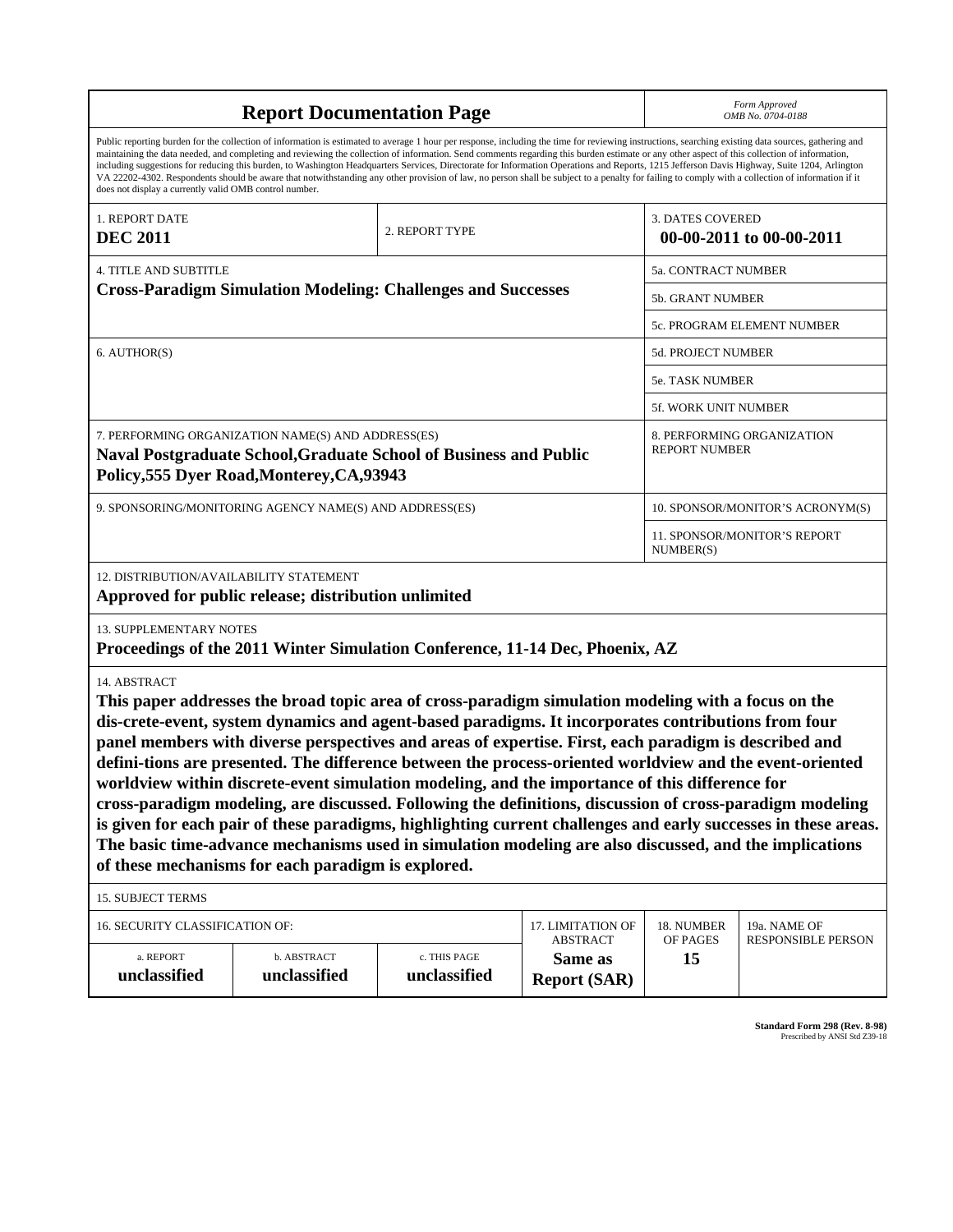| <b>Report Documentation Page</b>                                                                                                                                                                                                                                                                                                                                                                                                                                                                                                                                                                                                                                                                                                                                                                                                                                                                                                                |                             |                              |                                | Form Approved<br>OMB No. 0704-0188                 |                                           |
|-------------------------------------------------------------------------------------------------------------------------------------------------------------------------------------------------------------------------------------------------------------------------------------------------------------------------------------------------------------------------------------------------------------------------------------------------------------------------------------------------------------------------------------------------------------------------------------------------------------------------------------------------------------------------------------------------------------------------------------------------------------------------------------------------------------------------------------------------------------------------------------------------------------------------------------------------|-----------------------------|------------------------------|--------------------------------|----------------------------------------------------|-------------------------------------------|
| Public reporting burden for the collection of information is estimated to average 1 hour per response, including the time for reviewing instructions, searching existing data sources, gathering and<br>maintaining the data needed, and completing and reviewing the collection of information. Send comments regarding this burden estimate or any other aspect of this collection of information,<br>including suggestions for reducing this burden, to Washington Headquarters Services, Directorate for Information Operations and Reports, 1215 Jefferson Davis Highway, Suite 1204, Arlington<br>VA 22202-4302. Respondents should be aware that notwithstanding any other provision of law, no person shall be subject to a penalty for failing to comply with a collection of information if it<br>does not display a currently valid OMB control number.                                                                              |                             |                              |                                |                                                    |                                           |
| 1. REPORT DATE<br><b>DEC 2011</b>                                                                                                                                                                                                                                                                                                                                                                                                                                                                                                                                                                                                                                                                                                                                                                                                                                                                                                               |                             | 2. REPORT TYPE               |                                | <b>3. DATES COVERED</b>                            | 00-00-2011 to 00-00-2011                  |
| <b>4. TITLE AND SUBTITLE</b>                                                                                                                                                                                                                                                                                                                                                                                                                                                                                                                                                                                                                                                                                                                                                                                                                                                                                                                    |                             |                              |                                | 5a. CONTRACT NUMBER                                |                                           |
| <b>Cross-Paradigm Simulation Modeling: Challenges and Successes</b>                                                                                                                                                                                                                                                                                                                                                                                                                                                                                                                                                                                                                                                                                                                                                                                                                                                                             |                             |                              |                                | 5b. GRANT NUMBER                                   |                                           |
|                                                                                                                                                                                                                                                                                                                                                                                                                                                                                                                                                                                                                                                                                                                                                                                                                                                                                                                                                 |                             |                              |                                | 5c. PROGRAM ELEMENT NUMBER                         |                                           |
| 6. AUTHOR(S)                                                                                                                                                                                                                                                                                                                                                                                                                                                                                                                                                                                                                                                                                                                                                                                                                                                                                                                                    |                             |                              |                                | <b>5d. PROJECT NUMBER</b>                          |                                           |
|                                                                                                                                                                                                                                                                                                                                                                                                                                                                                                                                                                                                                                                                                                                                                                                                                                                                                                                                                 |                             |                              |                                | 5e. TASK NUMBER                                    |                                           |
|                                                                                                                                                                                                                                                                                                                                                                                                                                                                                                                                                                                                                                                                                                                                                                                                                                                                                                                                                 |                             |                              |                                | 5f. WORK UNIT NUMBER                               |                                           |
| 7. PERFORMING ORGANIZATION NAME(S) AND ADDRESS(ES)<br><b>Naval Postgraduate School, Graduate School of Business and Public</b><br>Policy, 555 Dyer Road, Monterey, CA, 93943                                                                                                                                                                                                                                                                                                                                                                                                                                                                                                                                                                                                                                                                                                                                                                    |                             |                              |                                | 8. PERFORMING ORGANIZATION<br><b>REPORT NUMBER</b> |                                           |
| 9. SPONSORING/MONITORING AGENCY NAME(S) AND ADDRESS(ES)                                                                                                                                                                                                                                                                                                                                                                                                                                                                                                                                                                                                                                                                                                                                                                                                                                                                                         |                             |                              |                                | 10. SPONSOR/MONITOR'S ACRONYM(S)                   |                                           |
|                                                                                                                                                                                                                                                                                                                                                                                                                                                                                                                                                                                                                                                                                                                                                                                                                                                                                                                                                 |                             |                              |                                | 11. SPONSOR/MONITOR'S REPORT<br>NUMBER(S)          |                                           |
| 12. DISTRIBUTION/AVAILABILITY STATEMENT<br>Approved for public release; distribution unlimited                                                                                                                                                                                                                                                                                                                                                                                                                                                                                                                                                                                                                                                                                                                                                                                                                                                  |                             |                              |                                |                                                    |                                           |
| 13. SUPPLEMENTARY NOTES<br>Proceedings of the 2011 Winter Simulation Conference, 11-14 Dec, Phoenix, AZ                                                                                                                                                                                                                                                                                                                                                                                                                                                                                                                                                                                                                                                                                                                                                                                                                                         |                             |                              |                                |                                                    |                                           |
| 14. ABSTRACT<br>This paper addresses the broad topic area of cross-paradigm simulation modeling with a focus on the<br>dis-crete-event, system dynamics and agent-based paradigms. It incorporates contributions from four<br>panel members with diverse perspectives and areas of expertise. First, each paradigm is described and<br>defini-tions are presented. The difference between the process-oriented worldview and the event-oriented<br>worldview within discrete-event simulation modeling, and the importance of this difference for<br>cross-paradigm modeling, are discussed. Following the definitions, discussion of cross-paradigm modeling<br>is given for each pair of these paradigms, highlighting current challenges and early successes in these areas.<br>The basic time-advance mechanisms used in simulation modeling are also discussed, and the implications<br>of these mechanisms for each paradigm is explored. |                             |                              |                                |                                                    |                                           |
| 15. SUBJECT TERMS                                                                                                                                                                                                                                                                                                                                                                                                                                                                                                                                                                                                                                                                                                                                                                                                                                                                                                                               |                             |                              |                                |                                                    |                                           |
| 16. SECURITY CLASSIFICATION OF:<br>17. LIMITATION OF<br><b>ABSTRACT</b>                                                                                                                                                                                                                                                                                                                                                                                                                                                                                                                                                                                                                                                                                                                                                                                                                                                                         |                             |                              |                                | 18. NUMBER<br>OF PAGES                             | 19a. NAME OF<br><b>RESPONSIBLE PERSON</b> |
| a. REPORT<br>unclassified                                                                                                                                                                                                                                                                                                                                                                                                                                                                                                                                                                                                                                                                                                                                                                                                                                                                                                                       | b. ABSTRACT<br>unclassified | c. THIS PAGE<br>unclassified | Same as<br><b>Report (SAR)</b> | 15                                                 |                                           |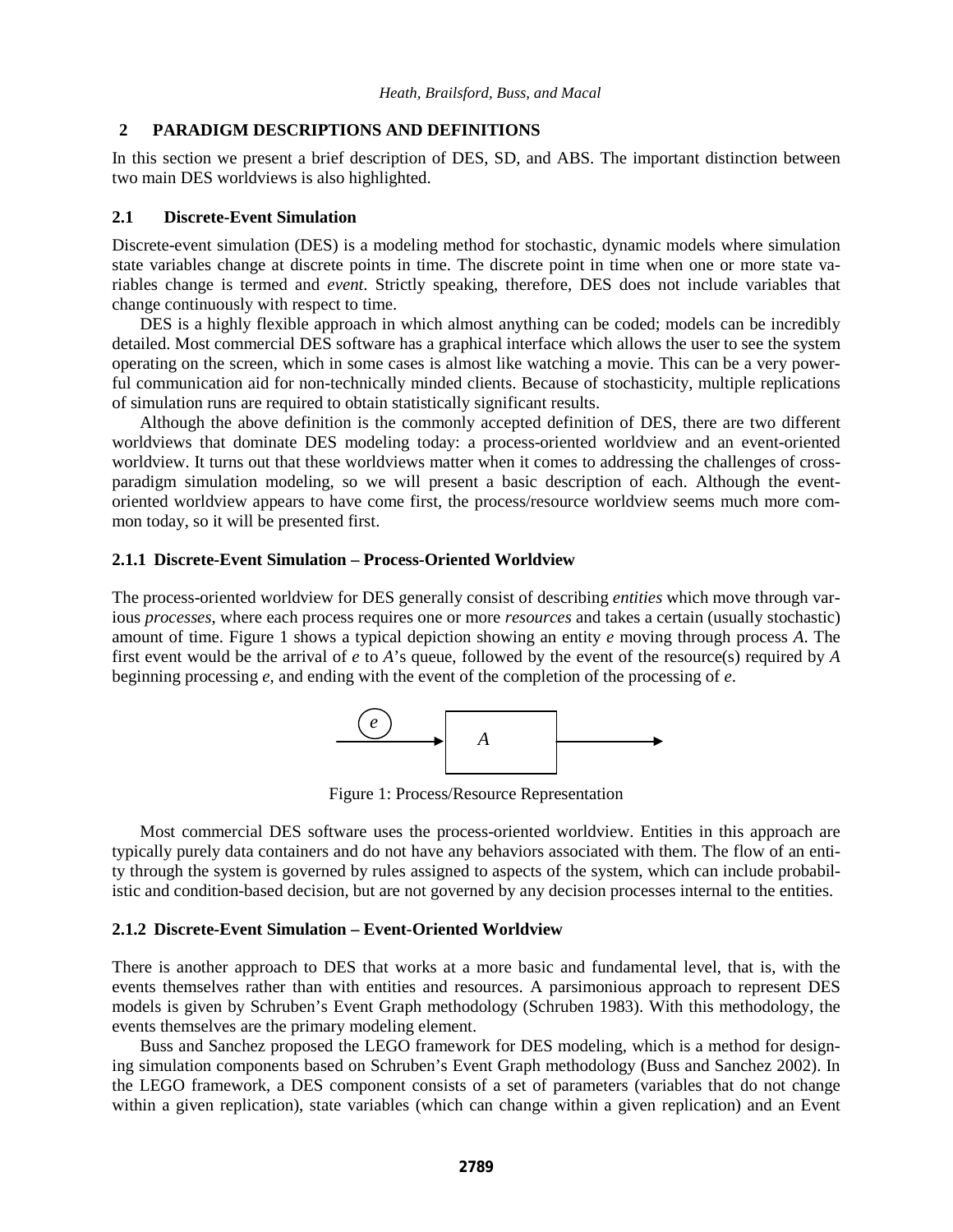## **2 PARADIGM DESCRIPTIONS AND DEFINITIONS**

In this section we present a brief description of DES, SD, and ABS. The important distinction between two main DES worldviews is also highlighted.

## **2.1 Discrete-Event Simulation**

Discrete-event simulation (DES) is a modeling method for stochastic, dynamic models where simulation state variables change at discrete points in time. The discrete point in time when one or more state variables change is termed and *event*. Strictly speaking, therefore, DES does not include variables that change continuously with respect to time.

DES is a highly flexible approach in which almost anything can be coded; models can be incredibly detailed. Most commercial DES software has a graphical interface which allows the user to see the system operating on the screen, which in some cases is almost like watching a movie. This can be a very powerful communication aid for non-technically minded clients. Because of stochasticity, multiple replications of simulation runs are required to obtain statistically significant results.

Although the above definition is the commonly accepted definition of DES, there are two different worldviews that dominate DES modeling today: a process-oriented worldview and an event-oriented worldview. It turns out that these worldviews matter when it comes to addressing the challenges of crossparadigm simulation modeling, so we will present a basic description of each. Although the eventoriented worldview appears to have come first, the process/resource worldview seems much more common today, so it will be presented first.

## **2.1.1 Discrete-Event Simulation – Process-Oriented Worldview**

The process-oriented worldview for DES generally consist of describing *entities* which move through various *processes*, where each process requires one or more *resources* and takes a certain (usually stochastic) amount of time. Figure 1 shows a typical depiction showing an entity *e* moving through process *A*. The first event would be the arrival of *e* to *A*'s queue, followed by the event of the resource(s) required by *A* beginning processing *e*, and ending with the event of the completion of the processing of *e*.



Figure 1: Process/Resource Representation

Most commercial DES software uses the process-oriented worldview. Entities in this approach are typically purely data containers and do not have any behaviors associated with them. The flow of an entity through the system is governed by rules assigned to aspects of the system, which can include probabilistic and condition-based decision, but are not governed by any decision processes internal to the entities.

## **2.1.2 Discrete-Event Simulation – Event-Oriented Worldview**

There is another approach to DES that works at a more basic and fundamental level, that is, with the events themselves rather than with entities and resources. A parsimonious approach to represent DES models is given by Schruben's Event Graph methodology (Schruben 1983). With this methodology, the events themselves are the primary modeling element.

Buss and Sanchez proposed the LEGO framework for DES modeling, which is a method for designing simulation components based on Schruben's Event Graph methodology (Buss and Sanchez 2002). In the LEGO framework, a DES component consists of a set of parameters (variables that do not change within a given replication), state variables (which can change within a given replication) and an Event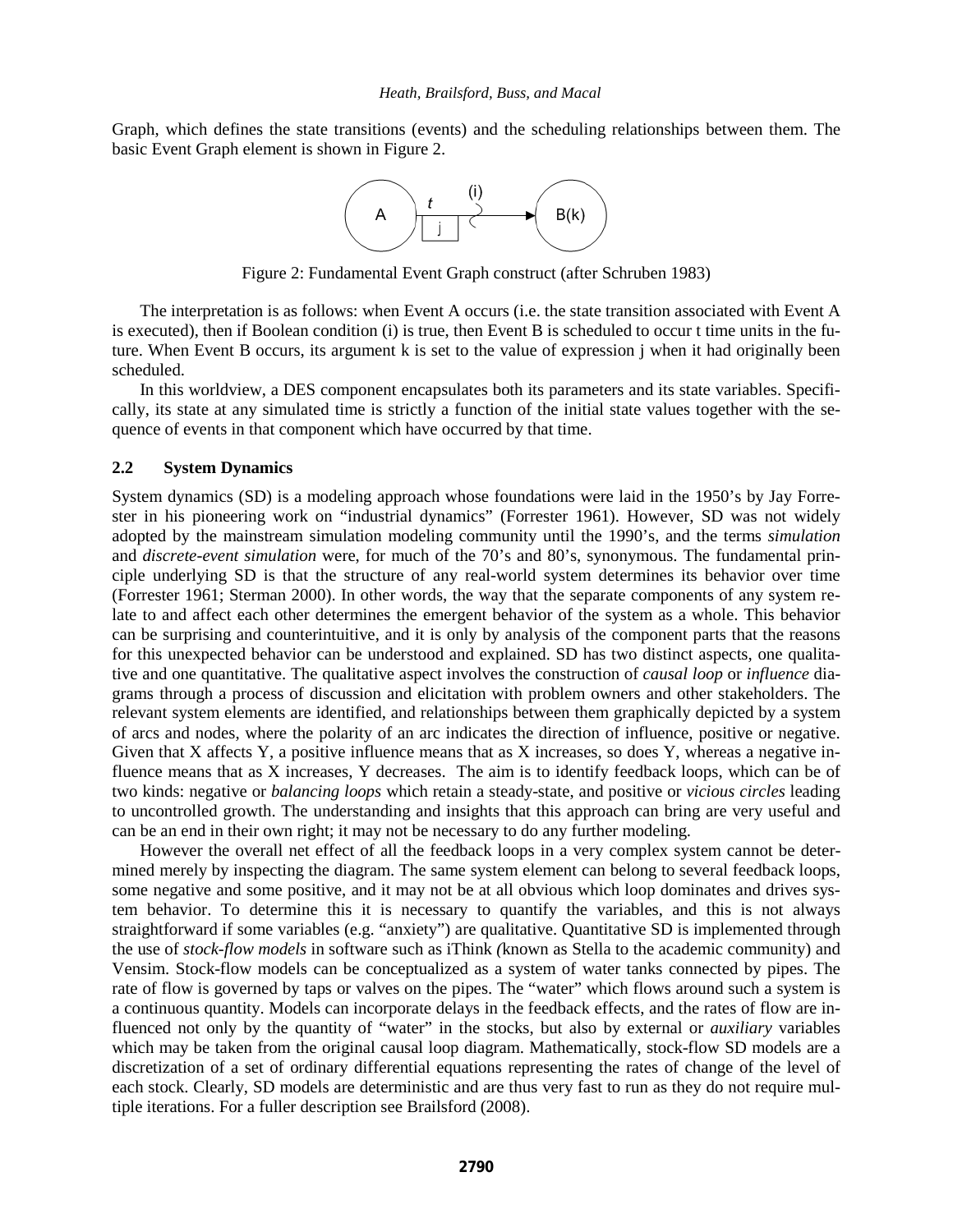Graph, which defines the state transitions (events) and the scheduling relationships between them. The basic Event Graph element is shown in Figure 2.



Figure 2: Fundamental Event Graph construct (after Schruben 1983)

The interpretation is as follows: when Event A occurs (i.e. the state transition associated with Event A is executed), then if Boolean condition (i) is true, then Event B is scheduled to occur t time units in the future. When Event B occurs, its argument k is set to the value of expression j when it had originally been scheduled.

In this worldview, a DES component encapsulates both its parameters and its state variables. Specifically, its state at any simulated time is strictly a function of the initial state values together with the sequence of events in that component which have occurred by that time.

## **2.2 System Dynamics**

System dynamics (SD) is a modeling approach whose foundations were laid in the 1950's by Jay Forrester in his pioneering work on "industrial dynamics" (Forrester 1961). However, SD was not widely adopted by the mainstream simulation modeling community until the 1990's, and the terms *simulation* and *discrete-event simulation* were, for much of the 70's and 80's, synonymous. The fundamental principle underlying SD is that the structure of any real-world system determines its behavior over time (Forrester 1961; Sterman 2000). In other words, the way that the separate components of any system relate to and affect each other determines the emergent behavior of the system as a whole. This behavior can be surprising and counterintuitive, and it is only by analysis of the component parts that the reasons for this unexpected behavior can be understood and explained. SD has two distinct aspects, one qualitative and one quantitative. The qualitative aspect involves the construction of *causal loop* or *influence* diagrams through a process of discussion and elicitation with problem owners and other stakeholders. The relevant system elements are identified, and relationships between them graphically depicted by a system of arcs and nodes, where the polarity of an arc indicates the direction of influence, positive or negative. Given that X affects Y, a positive influence means that as X increases, so does Y, whereas a negative influence means that as X increases, Y decreases. The aim is to identify feedback loops, which can be of two kinds: negative or *balancing loops* which retain a steady-state, and positive or *vicious circles* leading to uncontrolled growth. The understanding and insights that this approach can bring are very useful and can be an end in their own right; it may not be necessary to do any further modeling.

However the overall net effect of all the feedback loops in a very complex system cannot be determined merely by inspecting the diagram. The same system element can belong to several feedback loops, some negative and some positive, and it may not be at all obvious which loop dominates and drives system behavior. To determine this it is necessary to quantify the variables, and this is not always straightforward if some variables (e.g. "anxiety") are qualitative. Quantitative SD is implemented through the use of *stock-flow models* in software such as iThink *(*known as Stella to the academic community) and Vensim. Stock-flow models can be conceptualized as a system of water tanks connected by pipes. The rate of flow is governed by taps or valves on the pipes. The "water" which flows around such a system is a continuous quantity. Models can incorporate delays in the feedback effects, and the rates of flow are influenced not only by the quantity of "water" in the stocks, but also by external or *auxiliary* variables which may be taken from the original causal loop diagram. Mathematically, stock-flow SD models are a discretization of a set of ordinary differential equations representing the rates of change of the level of each stock. Clearly, SD models are deterministic and are thus very fast to run as they do not require multiple iterations. For a fuller description see Brailsford (2008).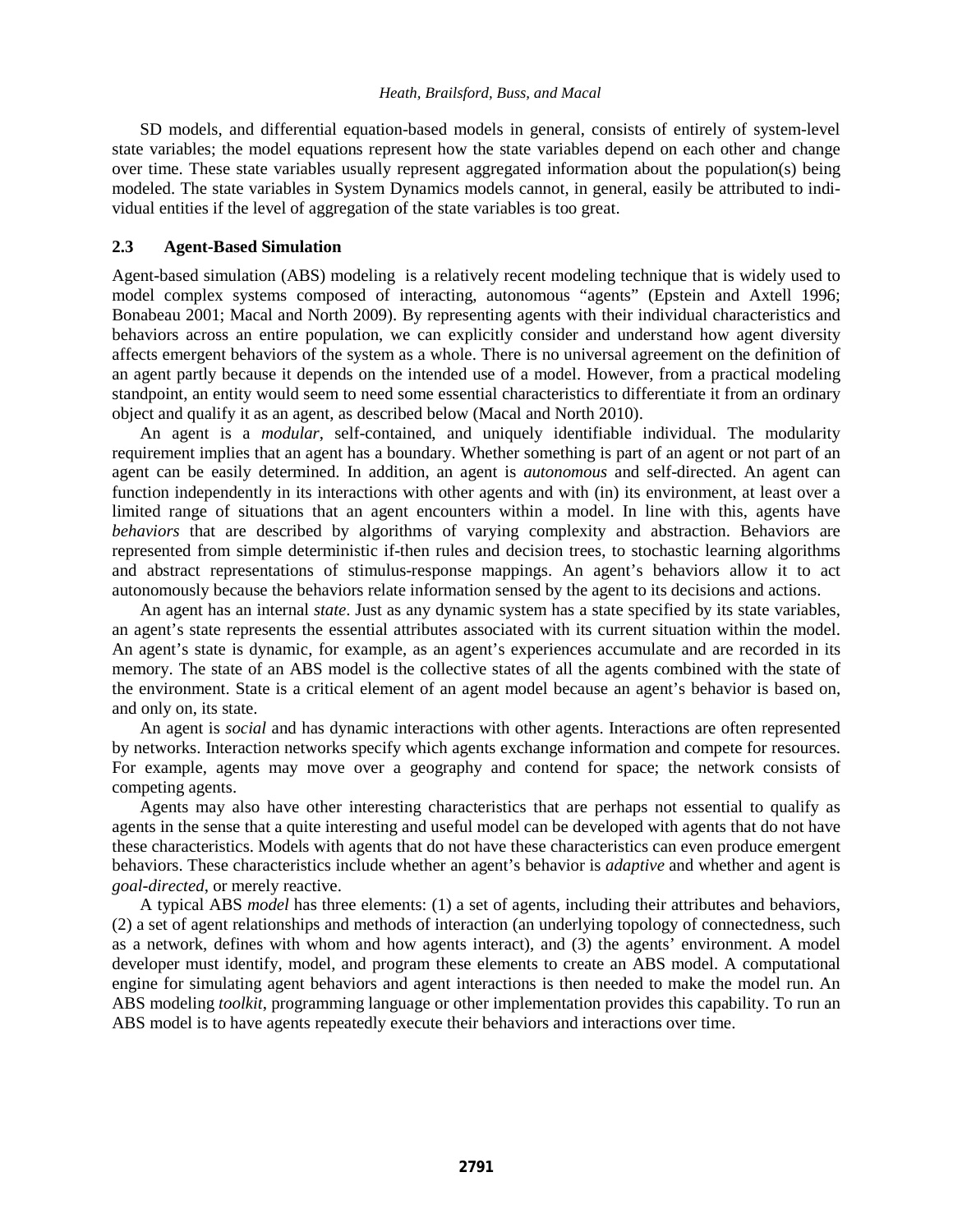SD models, and differential equation-based models in general, consists of entirely of system-level state variables; the model equations represent how the state variables depend on each other and change over time. These state variables usually represent aggregated information about the population(s) being modeled. The state variables in System Dynamics models cannot, in general, easily be attributed to individual entities if the level of aggregation of the state variables is too great.

## **2.3 Agent-Based Simulation**

Agent-based simulation (ABS) modeling is a relatively recent modeling technique that is widely used to model complex systems composed of interacting, autonomous "agents" (Epstein and Axtell 1996; Bonabeau 2001; Macal and North 2009). By representing agents with their individual characteristics and behaviors across an entire population, we can explicitly consider and understand how agent diversity affects emergent behaviors of the system as a whole. There is no universal agreement on the definition of an agent partly because it depends on the intended use of a model. However, from a practical modeling standpoint, an entity would seem to need some essential characteristics to differentiate it from an ordinary object and qualify it as an agent, as described below (Macal and North 2010).

An agent is a *modular*, self-contained, and uniquely identifiable individual. The modularity requirement implies that an agent has a boundary. Whether something is part of an agent or not part of an agent can be easily determined. In addition, an agent is *autonomous* and self-directed. An agent can function independently in its interactions with other agents and with (in) its environment, at least over a limited range of situations that an agent encounters within a model. In line with this, agents have *behaviors* that are described by algorithms of varying complexity and abstraction. Behaviors are represented from simple deterministic if-then rules and decision trees, to stochastic learning algorithms and abstract representations of stimulus-response mappings. An agent's behaviors allow it to act autonomously because the behaviors relate information sensed by the agent to its decisions and actions.

An agent has an internal *state*. Just as any dynamic system has a state specified by its state variables, an agent's state represents the essential attributes associated with its current situation within the model. An agent's state is dynamic, for example, as an agent's experiences accumulate and are recorded in its memory. The state of an ABS model is the collective states of all the agents combined with the state of the environment. State is a critical element of an agent model because an agent's behavior is based on, and only on, its state.

An agent is *social* and has dynamic interactions with other agents. Interactions are often represented by networks. Interaction networks specify which agents exchange information and compete for resources. For example, agents may move over a geography and contend for space; the network consists of competing agents.

Agents may also have other interesting characteristics that are perhaps not essential to qualify as agents in the sense that a quite interesting and useful model can be developed with agents that do not have these characteristics. Models with agents that do not have these characteristics can even produce emergent behaviors. These characteristics include whether an agent's behavior is *adaptive* and whether and agent is *goal-directed*, or merely reactive.

A typical ABS *model* has three elements: (1) a set of agents, including their attributes and behaviors, (2) a set of agent relationships and methods of interaction (an underlying topology of connectedness, such as a network, defines with whom and how agents interact), and (3) the agents' environment. A model developer must identify, model, and program these elements to create an ABS model. A computational engine for simulating agent behaviors and agent interactions is then needed to make the model run. An ABS modeling *toolkit*, programming language or other implementation provides this capability. To run an ABS model is to have agents repeatedly execute their behaviors and interactions over time.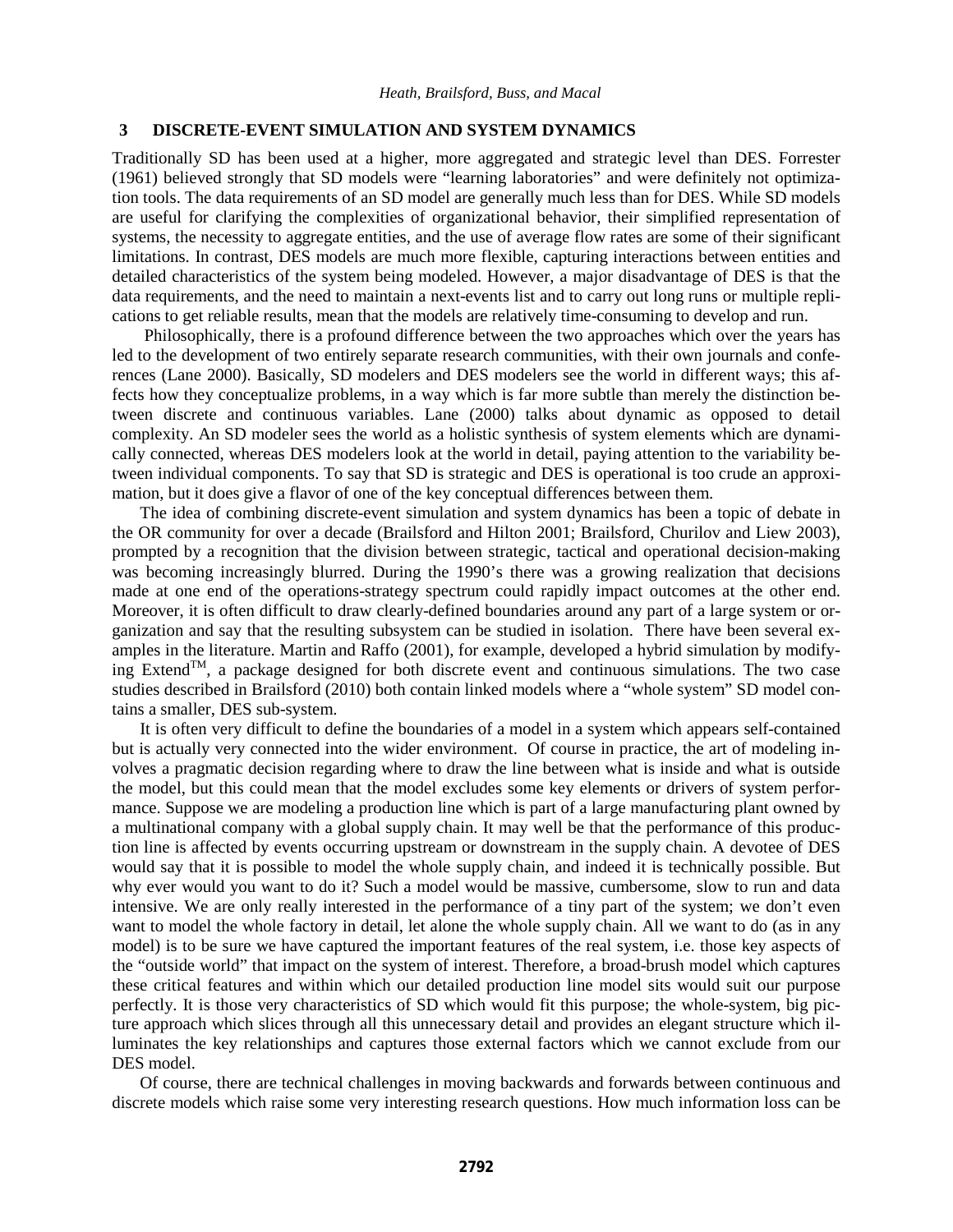## **3 DISCRETE-EVENT SIMULATION AND SYSTEM DYNAMICS**

Traditionally SD has been used at a higher, more aggregated and strategic level than DES. Forrester (1961) believed strongly that SD models were "learning laboratories" and were definitely not optimization tools. The data requirements of an SD model are generally much less than for DES. While SD models are useful for clarifying the complexities of organizational behavior, their simplified representation of systems, the necessity to aggregate entities, and the use of average flow rates are some of their significant limitations. In contrast, DES models are much more flexible, capturing interactions between entities and detailed characteristics of the system being modeled. However, a major disadvantage of DES is that the data requirements, and the need to maintain a next-events list and to carry out long runs or multiple replications to get reliable results, mean that the models are relatively time-consuming to develop and run.

 Philosophically, there is a profound difference between the two approaches which over the years has led to the development of two entirely separate research communities, with their own journals and conferences (Lane 2000). Basically, SD modelers and DES modelers see the world in different ways; this affects how they conceptualize problems, in a way which is far more subtle than merely the distinction between discrete and continuous variables. Lane (2000) talks about dynamic as opposed to detail complexity. An SD modeler sees the world as a holistic synthesis of system elements which are dynamically connected, whereas DES modelers look at the world in detail, paying attention to the variability between individual components. To say that SD is strategic and DES is operational is too crude an approximation, but it does give a flavor of one of the key conceptual differences between them.

The idea of combining discrete-event simulation and system dynamics has been a topic of debate in the OR community for over a decade (Brailsford and Hilton 2001; Brailsford, Churilov and Liew 2003), prompted by a recognition that the division between strategic, tactical and operational decision-making was becoming increasingly blurred. During the 1990's there was a growing realization that decisions made at one end of the operations-strategy spectrum could rapidly impact outcomes at the other end. Moreover, it is often difficult to draw clearly-defined boundaries around any part of a large system or organization and say that the resulting subsystem can be studied in isolation. There have been several examples in the literature. Martin and Raffo (2001), for example, developed a hybrid simulation by modifying  $Extend^{TM}$ , a package designed for both discrete event and continuous simulations. The two case studies described in Brailsford (2010) both contain linked models where a "whole system" SD model contains a smaller, DES sub-system.

It is often very difficult to define the boundaries of a model in a system which appears self-contained but is actually very connected into the wider environment. Of course in practice, the art of modeling involves a pragmatic decision regarding where to draw the line between what is inside and what is outside the model, but this could mean that the model excludes some key elements or drivers of system performance. Suppose we are modeling a production line which is part of a large manufacturing plant owned by a multinational company with a global supply chain. It may well be that the performance of this production line is affected by events occurring upstream or downstream in the supply chain. A devotee of DES would say that it is possible to model the whole supply chain, and indeed it is technically possible. But why ever would you want to do it? Such a model would be massive, cumbersome, slow to run and data intensive. We are only really interested in the performance of a tiny part of the system; we don't even want to model the whole factory in detail, let alone the whole supply chain. All we want to do (as in any model) is to be sure we have captured the important features of the real system, i.e. those key aspects of the "outside world" that impact on the system of interest. Therefore, a broad-brush model which captures these critical features and within which our detailed production line model sits would suit our purpose perfectly. It is those very characteristics of SD which would fit this purpose; the whole-system, big picture approach which slices through all this unnecessary detail and provides an elegant structure which illuminates the key relationships and captures those external factors which we cannot exclude from our DES model.

Of course, there are technical challenges in moving backwards and forwards between continuous and discrete models which raise some very interesting research questions. How much information loss can be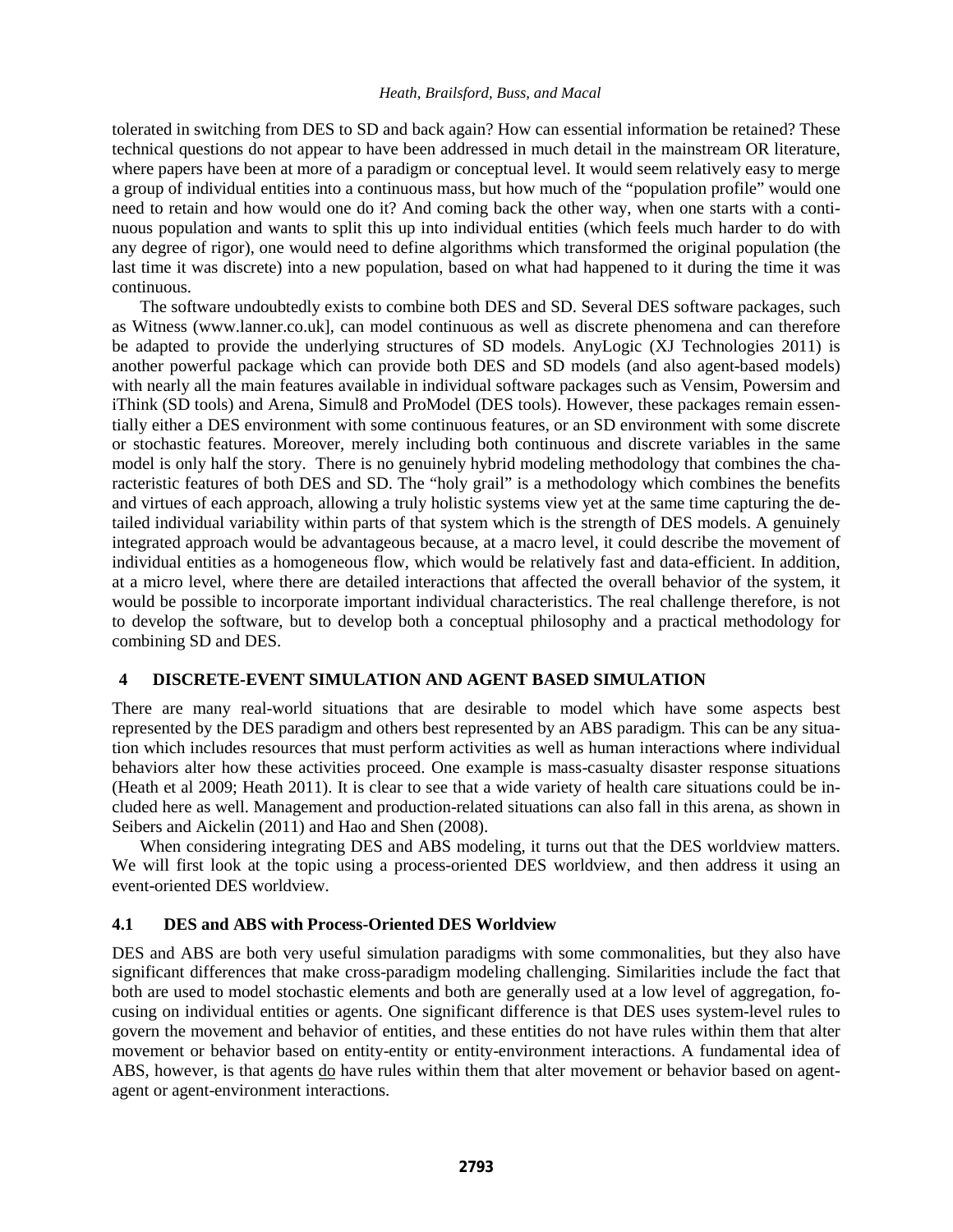tolerated in switching from DES to SD and back again? How can essential information be retained? These technical questions do not appear to have been addressed in much detail in the mainstream OR literature, where papers have been at more of a paradigm or conceptual level. It would seem relatively easy to merge a group of individual entities into a continuous mass, but how much of the "population profile" would one need to retain and how would one do it? And coming back the other way, when one starts with a continuous population and wants to split this up into individual entities (which feels much harder to do with any degree of rigor), one would need to define algorithms which transformed the original population (the last time it was discrete) into a new population, based on what had happened to it during the time it was continuous.

 The software undoubtedly exists to combine both DES and SD. Several DES software packages, such as Witness (www.lanner.co.uk], can model continuous as well as discrete phenomena and can therefore be adapted to provide the underlying structures of SD models. AnyLogic (XJ Technologies 2011) is another powerful package which can provide both DES and SD models (and also agent-based models) with nearly all the main features available in individual software packages such as Vensim, Powersim and iThink (SD tools) and Arena, Simul8 and ProModel (DES tools). However, these packages remain essentially either a DES environment with some continuous features, or an SD environment with some discrete or stochastic features. Moreover, merely including both continuous and discrete variables in the same model is only half the story. There is no genuinely hybrid modeling methodology that combines the characteristic features of both DES and SD. The "holy grail" is a methodology which combines the benefits and virtues of each approach, allowing a truly holistic systems view yet at the same time capturing the detailed individual variability within parts of that system which is the strength of DES models. A genuinely integrated approach would be advantageous because, at a macro level, it could describe the movement of individual entities as a homogeneous flow, which would be relatively fast and data-efficient. In addition, at a micro level, where there are detailed interactions that affected the overall behavior of the system, it would be possible to incorporate important individual characteristics. The real challenge therefore, is not to develop the software, but to develop both a conceptual philosophy and a practical methodology for combining SD and DES.

# **4 DISCRETE-EVENT SIMULATION AND AGENT BASED SIMULATION**

There are many real-world situations that are desirable to model which have some aspects best represented by the DES paradigm and others best represented by an ABS paradigm. This can be any situation which includes resources that must perform activities as well as human interactions where individual behaviors alter how these activities proceed. One example is mass-casualty disaster response situations (Heath et al 2009; Heath 2011). It is clear to see that a wide variety of health care situations could be included here as well. Management and production-related situations can also fall in this arena, as shown in Seibers and Aickelin (2011) and Hao and Shen (2008).

When considering integrating DES and ABS modeling, it turns out that the DES worldview matters. We will first look at the topic using a process-oriented DES worldview, and then address it using an event-oriented DES worldview.

# **4.1 DES and ABS with Process-Oriented DES Worldview**

DES and ABS are both very useful simulation paradigms with some commonalities, but they also have significant differences that make cross-paradigm modeling challenging. Similarities include the fact that both are used to model stochastic elements and both are generally used at a low level of aggregation, focusing on individual entities or agents. One significant difference is that DES uses system-level rules to govern the movement and behavior of entities, and these entities do not have rules within them that alter movement or behavior based on entity-entity or entity-environment interactions. A fundamental idea of ABS, however, is that agents do have rules within them that alter movement or behavior based on agentagent or agent-environment interactions.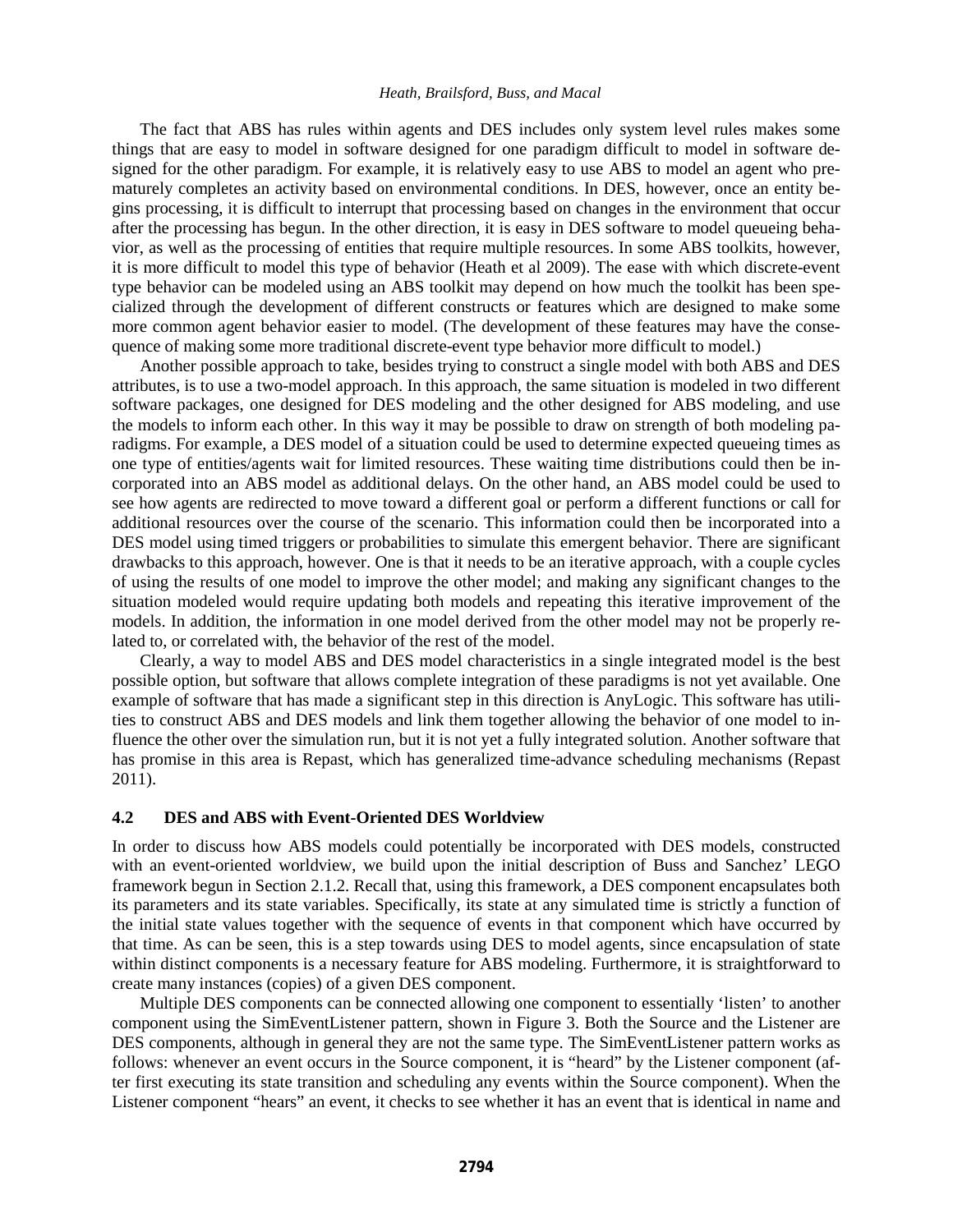The fact that ABS has rules within agents and DES includes only system level rules makes some things that are easy to model in software designed for one paradigm difficult to model in software designed for the other paradigm. For example, it is relatively easy to use ABS to model an agent who prematurely completes an activity based on environmental conditions. In DES, however, once an entity begins processing, it is difficult to interrupt that processing based on changes in the environment that occur after the processing has begun. In the other direction, it is easy in DES software to model queueing behavior, as well as the processing of entities that require multiple resources. In some ABS toolkits, however, it is more difficult to model this type of behavior (Heath et al 2009). The ease with which discrete-event type behavior can be modeled using an ABS toolkit may depend on how much the toolkit has been specialized through the development of different constructs or features which are designed to make some more common agent behavior easier to model. (The development of these features may have the consequence of making some more traditional discrete-event type behavior more difficult to model.)

 Another possible approach to take, besides trying to construct a single model with both ABS and DES attributes, is to use a two-model approach. In this approach, the same situation is modeled in two different software packages, one designed for DES modeling and the other designed for ABS modeling, and use the models to inform each other. In this way it may be possible to draw on strength of both modeling paradigms. For example, a DES model of a situation could be used to determine expected queueing times as one type of entities/agents wait for limited resources. These waiting time distributions could then be incorporated into an ABS model as additional delays. On the other hand, an ABS model could be used to see how agents are redirected to move toward a different goal or perform a different functions or call for additional resources over the course of the scenario. This information could then be incorporated into a DES model using timed triggers or probabilities to simulate this emergent behavior. There are significant drawbacks to this approach, however. One is that it needs to be an iterative approach, with a couple cycles of using the results of one model to improve the other model; and making any significant changes to the situation modeled would require updating both models and repeating this iterative improvement of the models. In addition, the information in one model derived from the other model may not be properly related to, or correlated with, the behavior of the rest of the model.

Clearly, a way to model ABS and DES model characteristics in a single integrated model is the best possible option, but software that allows complete integration of these paradigms is not yet available. One example of software that has made a significant step in this direction is AnyLogic. This software has utilities to construct ABS and DES models and link them together allowing the behavior of one model to influence the other over the simulation run, but it is not yet a fully integrated solution. Another software that has promise in this area is Repast, which has generalized time-advance scheduling mechanisms (Repast 2011).

### **4.2 DES and ABS with Event-Oriented DES Worldview**

In order to discuss how ABS models could potentially be incorporated with DES models, constructed with an event-oriented worldview, we build upon the initial description of Buss and Sanchez' LEGO framework begun in Section 2.1.2. Recall that, using this framework, a DES component encapsulates both its parameters and its state variables. Specifically, its state at any simulated time is strictly a function of the initial state values together with the sequence of events in that component which have occurred by that time. As can be seen, this is a step towards using DES to model agents, since encapsulation of state within distinct components is a necessary feature for ABS modeling. Furthermore, it is straightforward to create many instances (copies) of a given DES component.

Multiple DES components can be connected allowing one component to essentially 'listen' to another component using the SimEventListener pattern, shown in Figure 3. Both the Source and the Listener are DES components, although in general they are not the same type. The SimEventListener pattern works as follows: whenever an event occurs in the Source component, it is "heard" by the Listener component (after first executing its state transition and scheduling any events within the Source component). When the Listener component "hears" an event, it checks to see whether it has an event that is identical in name and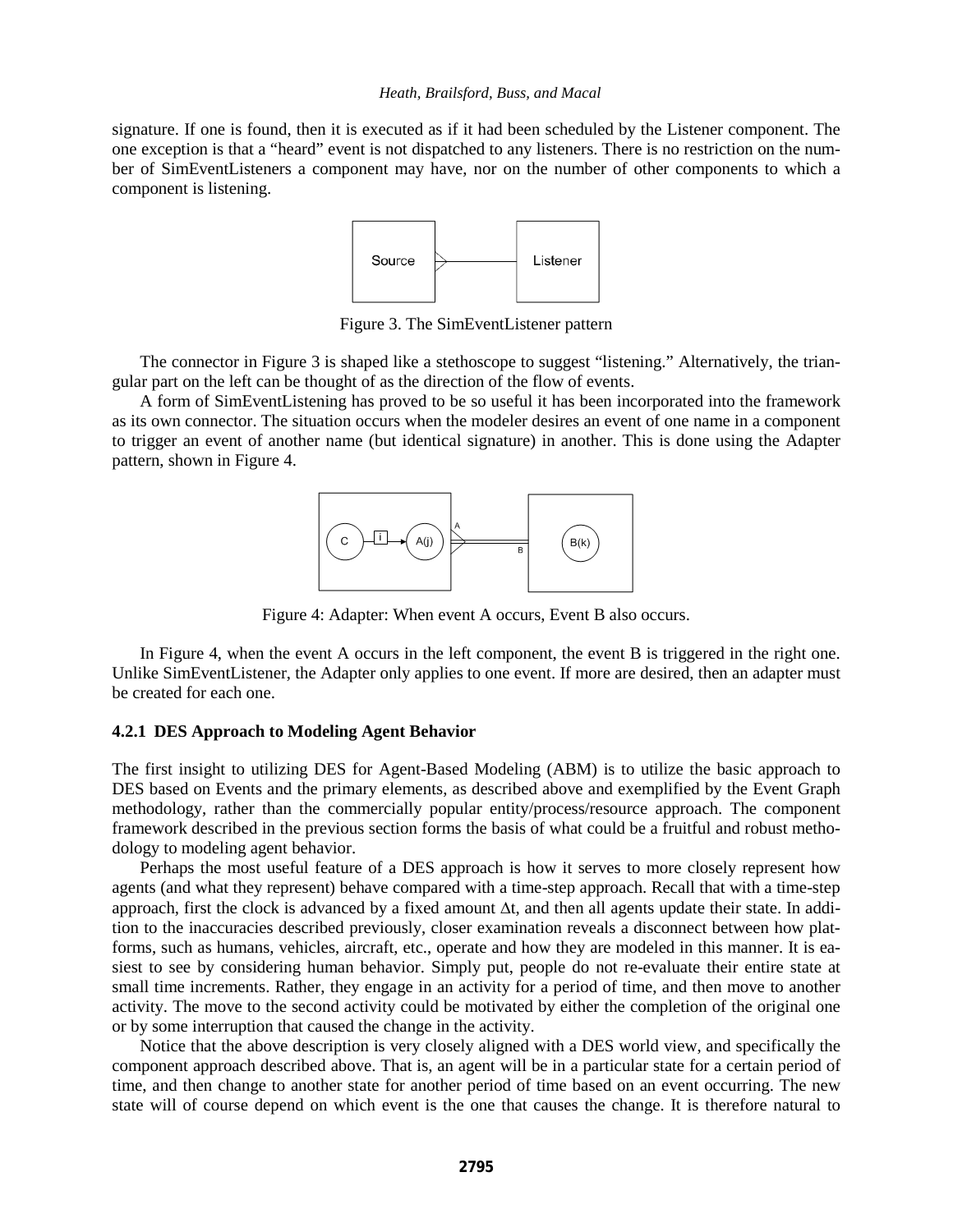signature. If one is found, then it is executed as if it had been scheduled by the Listener component. The one exception is that a "heard" event is not dispatched to any listeners. There is no restriction on the number of SimEventListeners a component may have, nor on the number of other components to which a component is listening.



Figure 3. The SimEventListener pattern

The connector in Figure 3 is shaped like a stethoscope to suggest "listening." Alternatively, the triangular part on the left can be thought of as the direction of the flow of events.

A form of SimEventListening has proved to be so useful it has been incorporated into the framework as its own connector. The situation occurs when the modeler desires an event of one name in a component to trigger an event of another name (but identical signature) in another. This is done using the Adapter pattern, shown in Figure 4.



Figure 4: Adapter: When event A occurs, Event B also occurs.

In Figure 4, when the event A occurs in the left component, the event B is triggered in the right one. Unlike SimEventListener, the Adapter only applies to one event. If more are desired, then an adapter must be created for each one.

### **4.2.1 DES Approach to Modeling Agent Behavior**

The first insight to utilizing DES for Agent-Based Modeling (ABM) is to utilize the basic approach to DES based on Events and the primary elements, as described above and exemplified by the Event Graph methodology, rather than the commercially popular entity/process/resource approach. The component framework described in the previous section forms the basis of what could be a fruitful and robust methodology to modeling agent behavior.

Perhaps the most useful feature of a DES approach is how it serves to more closely represent how agents (and what they represent) behave compared with a time-step approach. Recall that with a time-step approach, first the clock is advanced by a fixed amount ∆t, and then all agents update their state. In addition to the inaccuracies described previously, closer examination reveals a disconnect between how platforms, such as humans, vehicles, aircraft, etc., operate and how they are modeled in this manner. It is easiest to see by considering human behavior. Simply put, people do not re-evaluate their entire state at small time increments. Rather, they engage in an activity for a period of time, and then move to another activity. The move to the second activity could be motivated by either the completion of the original one or by some interruption that caused the change in the activity.

Notice that the above description is very closely aligned with a DES world view, and specifically the component approach described above. That is, an agent will be in a particular state for a certain period of time, and then change to another state for another period of time based on an event occurring. The new state will of course depend on which event is the one that causes the change. It is therefore natural to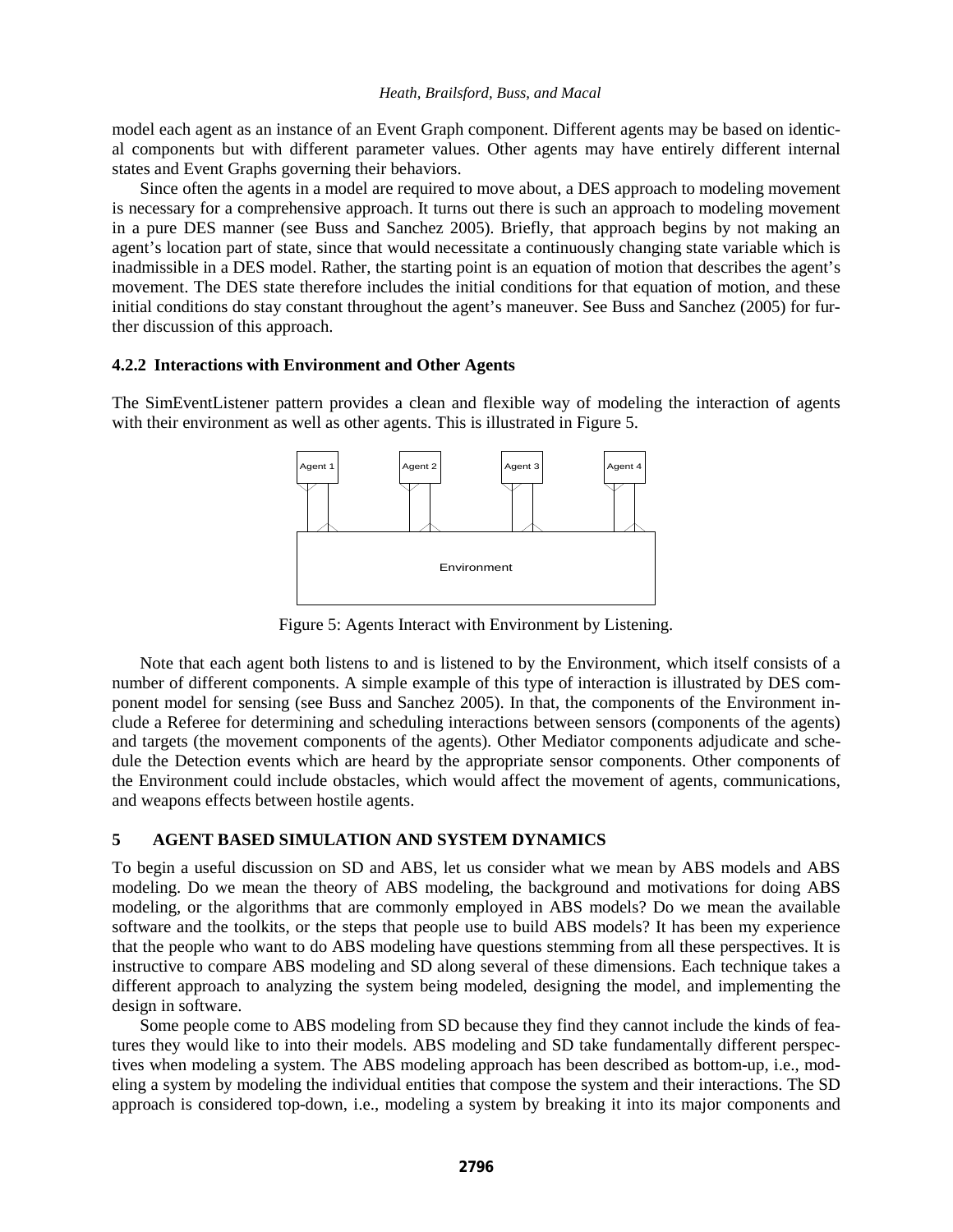model each agent as an instance of an Event Graph component. Different agents may be based on identical components but with different parameter values. Other agents may have entirely different internal states and Event Graphs governing their behaviors.

 Since often the agents in a model are required to move about, a DES approach to modeling movement is necessary for a comprehensive approach. It turns out there is such an approach to modeling movement in a pure DES manner (see Buss and Sanchez 2005). Briefly, that approach begins by not making an agent's location part of state, since that would necessitate a continuously changing state variable which is inadmissible in a DES model. Rather, the starting point is an equation of motion that describes the agent's movement. The DES state therefore includes the initial conditions for that equation of motion, and these initial conditions do stay constant throughout the agent's maneuver. See Buss and Sanchez (2005) for further discussion of this approach.

## **4.2.2 Interactions with Environment and Other Agents**

The SimEventListener pattern provides a clean and flexible way of modeling the interaction of agents with their environment as well as other agents. This is illustrated in Figure 5.



Figure 5: Agents Interact with Environment by Listening.

Note that each agent both listens to and is listened to by the Environment, which itself consists of a number of different components. A simple example of this type of interaction is illustrated by DES component model for sensing (see Buss and Sanchez 2005). In that, the components of the Environment include a Referee for determining and scheduling interactions between sensors (components of the agents) and targets (the movement components of the agents). Other Mediator components adjudicate and schedule the Detection events which are heard by the appropriate sensor components. Other components of the Environment could include obstacles, which would affect the movement of agents, communications, and weapons effects between hostile agents.

# **5 AGENT BASED SIMULATION AND SYSTEM DYNAMICS**

To begin a useful discussion on SD and ABS, let us consider what we mean by ABS models and ABS modeling. Do we mean the theory of ABS modeling, the background and motivations for doing ABS modeling, or the algorithms that are commonly employed in ABS models? Do we mean the available software and the toolkits, or the steps that people use to build ABS models? It has been my experience that the people who want to do ABS modeling have questions stemming from all these perspectives. It is instructive to compare ABS modeling and SD along several of these dimensions. Each technique takes a different approach to analyzing the system being modeled, designing the model, and implementing the design in software.

Some people come to ABS modeling from SD because they find they cannot include the kinds of features they would like to into their models. ABS modeling and SD take fundamentally different perspectives when modeling a system. The ABS modeling approach has been described as bottom-up, i.e., modeling a system by modeling the individual entities that compose the system and their interactions. The SD approach is considered top-down, i.e., modeling a system by breaking it into its major components and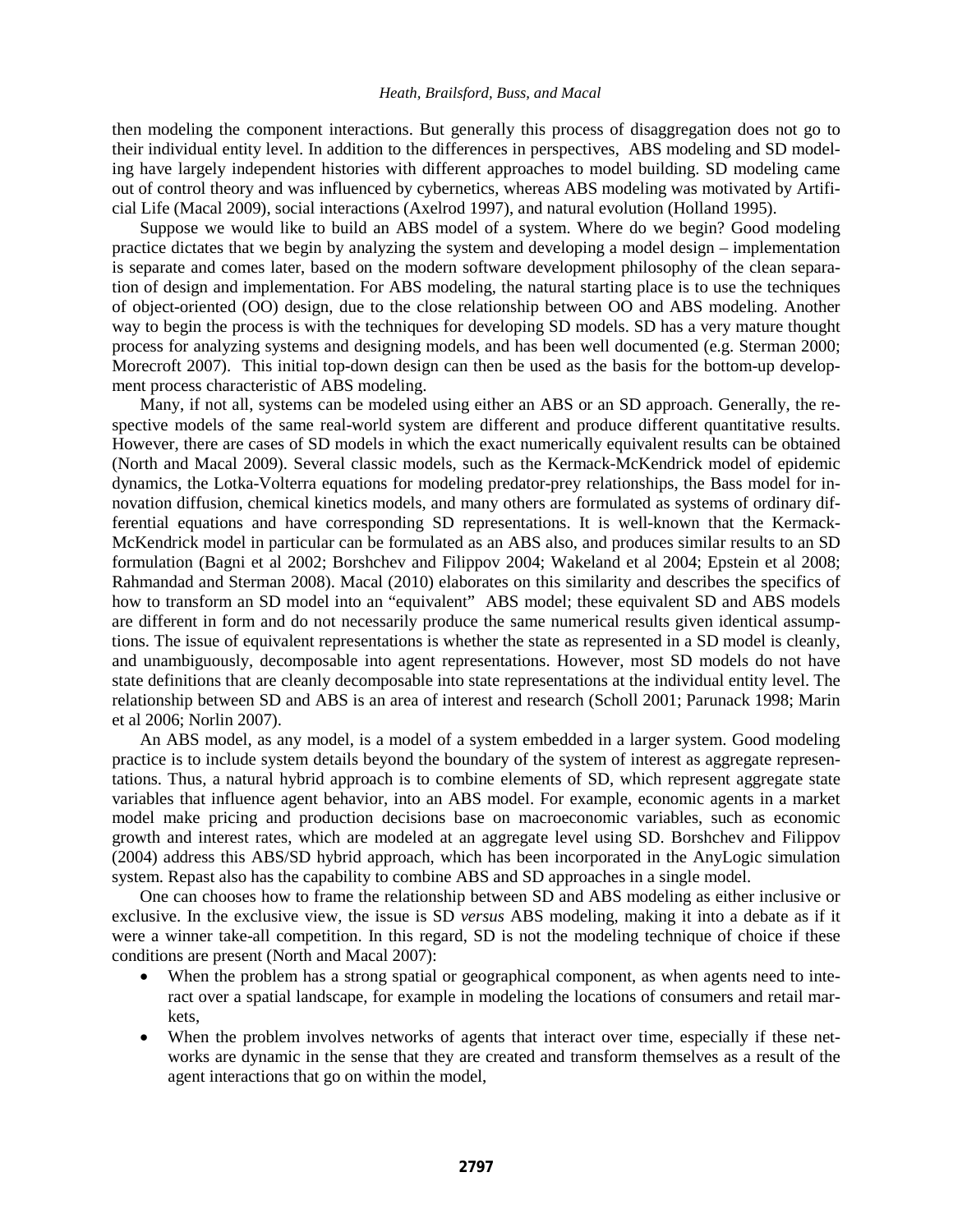then modeling the component interactions. But generally this process of disaggregation does not go to their individual entity level. In addition to the differences in perspectives, ABS modeling and SD modeling have largely independent histories with different approaches to model building. SD modeling came out of control theory and was influenced by cybernetics, whereas ABS modeling was motivated by Artificial Life (Macal 2009), social interactions (Axelrod 1997), and natural evolution (Holland 1995).

Suppose we would like to build an ABS model of a system. Where do we begin? Good modeling practice dictates that we begin by analyzing the system and developing a model design – implementation is separate and comes later, based on the modern software development philosophy of the clean separation of design and implementation. For ABS modeling, the natural starting place is to use the techniques of object-oriented (OO) design, due to the close relationship between OO and ABS modeling. Another way to begin the process is with the techniques for developing SD models. SD has a very mature thought process for analyzing systems and designing models, and has been well documented (e.g. Sterman 2000; Morecroft 2007). This initial top-down design can then be used as the basis for the bottom-up development process characteristic of ABS modeling.

Many, if not all, systems can be modeled using either an ABS or an SD approach. Generally, the respective models of the same real-world system are different and produce different quantitative results. However, there are cases of SD models in which the exact numerically equivalent results can be obtained (North and Macal 2009). Several classic models, such as the Kermack-McKendrick model of epidemic dynamics, the Lotka-Volterra equations for modeling predator-prey relationships, the Bass model for innovation diffusion, chemical kinetics models, and many others are formulated as systems of ordinary differential equations and have corresponding SD representations. It is well-known that the Kermack-McKendrick model in particular can be formulated as an ABS also, and produces similar results to an SD formulation (Bagni et al 2002; Borshchev and Filippov 2004; Wakeland et al 2004; Epstein et al 2008; Rahmandad and Sterman 2008). Macal (2010) elaborates on this similarity and describes the specifics of how to transform an SD model into an "equivalent" ABS model; these equivalent SD and ABS models are different in form and do not necessarily produce the same numerical results given identical assumptions. The issue of equivalent representations is whether the state as represented in a SD model is cleanly, and unambiguously, decomposable into agent representations. However, most SD models do not have state definitions that are cleanly decomposable into state representations at the individual entity level. The relationship between SD and ABS is an area of interest and research (Scholl 2001; Parunack 1998; Marin et al 2006; Norlin 2007).

An ABS model, as any model, is a model of a system embedded in a larger system. Good modeling practice is to include system details beyond the boundary of the system of interest as aggregate representations. Thus, a natural hybrid approach is to combine elements of SD, which represent aggregate state variables that influence agent behavior, into an ABS model. For example, economic agents in a market model make pricing and production decisions base on macroeconomic variables, such as economic growth and interest rates, which are modeled at an aggregate level using SD. Borshchev and Filippov (2004) address this ABS/SD hybrid approach, which has been incorporated in the AnyLogic simulation system. Repast also has the capability to combine ABS and SD approaches in a single model.

One can chooses how to frame the relationship between SD and ABS modeling as either inclusive or exclusive. In the exclusive view, the issue is SD *versus* ABS modeling, making it into a debate as if it were a winner take-all competition. In this regard, SD is not the modeling technique of choice if these conditions are present (North and Macal 2007):

- When the problem has a strong spatial or geographical component, as when agents need to interact over a spatial landscape, for example in modeling the locations of consumers and retail markets,
- When the problem involves networks of agents that interact over time, especially if these networks are dynamic in the sense that they are created and transform themselves as a result of the agent interactions that go on within the model,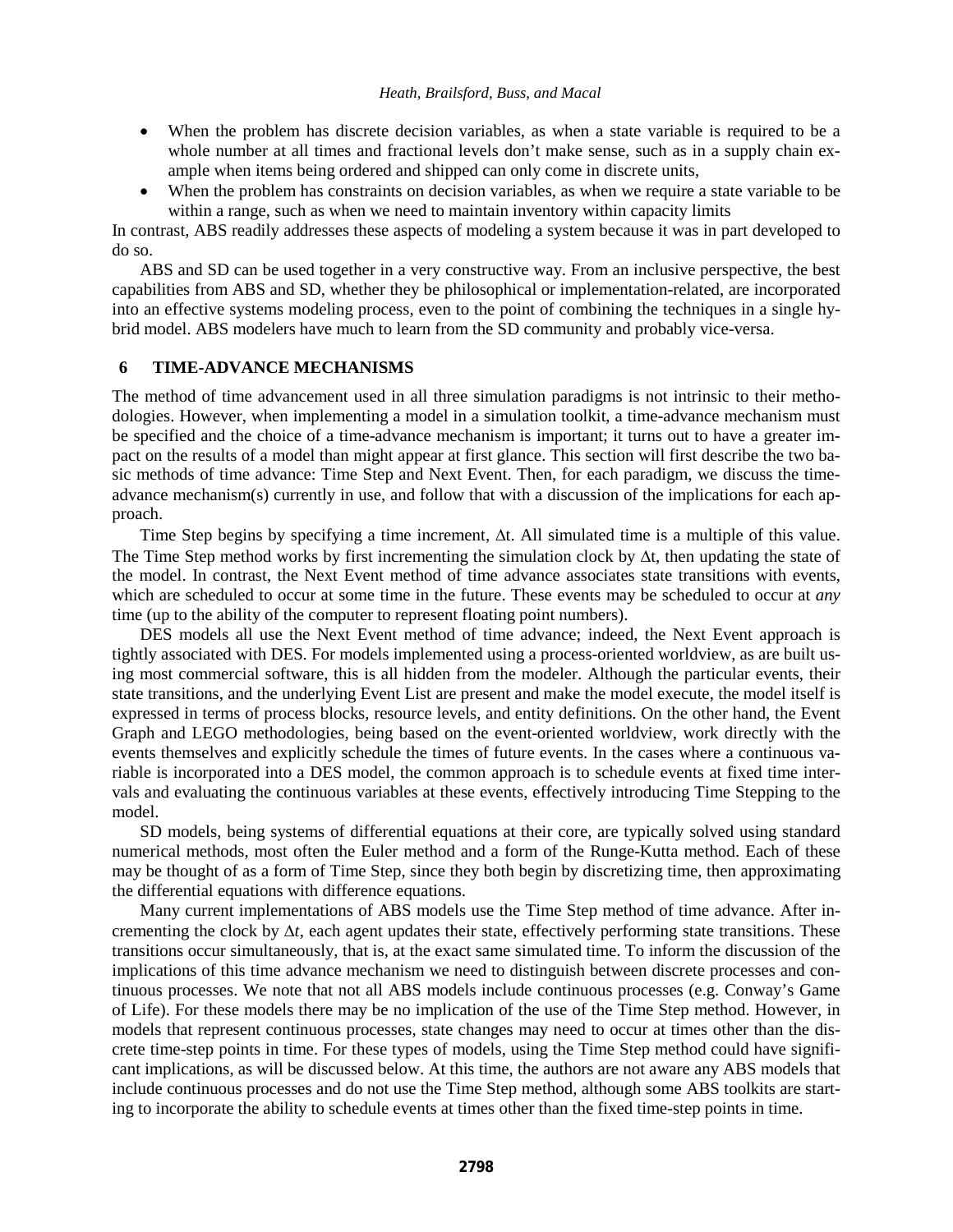- When the problem has discrete decision variables, as when a state variable is required to be a whole number at all times and fractional levels don't make sense, such as in a supply chain example when items being ordered and shipped can only come in discrete units,
- When the problem has constraints on decision variables, as when we require a state variable to be within a range, such as when we need to maintain inventory within capacity limits

In contrast, ABS readily addresses these aspects of modeling a system because it was in part developed to do so.

 ABS and SD can be used together in a very constructive way. From an inclusive perspective, the best capabilities from ABS and SD, whether they be philosophical or implementation-related, are incorporated into an effective systems modeling process, even to the point of combining the techniques in a single hybrid model. ABS modelers have much to learn from the SD community and probably vice-versa.

## **6 TIME-ADVANCE MECHANISMS**

The method of time advancement used in all three simulation paradigms is not intrinsic to their methodologies. However, when implementing a model in a simulation toolkit, a time-advance mechanism must be specified and the choice of a time-advance mechanism is important; it turns out to have a greater impact on the results of a model than might appear at first glance. This section will first describe the two basic methods of time advance: Time Step and Next Event. Then, for each paradigm, we discuss the timeadvance mechanism(s) currently in use, and follow that with a discussion of the implications for each approach.

Time Step begins by specifying a time increment, ∆t. All simulated time is a multiple of this value. The Time Step method works by first incrementing the simulation clock by ∆t, then updating the state of the model. In contrast, the Next Event method of time advance associates state transitions with events, which are scheduled to occur at some time in the future. These events may be scheduled to occur at *any* time (up to the ability of the computer to represent floating point numbers).

DES models all use the Next Event method of time advance; indeed, the Next Event approach is tightly associated with DES. For models implemented using a process-oriented worldview, as are built using most commercial software, this is all hidden from the modeler. Although the particular events, their state transitions, and the underlying Event List are present and make the model execute, the model itself is expressed in terms of process blocks, resource levels, and entity definitions. On the other hand, the Event Graph and LEGO methodologies, being based on the event-oriented worldview, work directly with the events themselves and explicitly schedule the times of future events. In the cases where a continuous variable is incorporated into a DES model, the common approach is to schedule events at fixed time intervals and evaluating the continuous variables at these events, effectively introducing Time Stepping to the model.

SD models, being systems of differential equations at their core, are typically solved using standard numerical methods, most often the Euler method and a form of the Runge-Kutta method. Each of these may be thought of as a form of Time Step, since they both begin by discretizing time, then approximating the differential equations with difference equations.

Many current implementations of ABS models use the Time Step method of time advance. After incrementing the clock by ∆*t*, each agent updates their state, effectively performing state transitions. These transitions occur simultaneously, that is, at the exact same simulated time. To inform the discussion of the implications of this time advance mechanism we need to distinguish between discrete processes and continuous processes. We note that not all ABS models include continuous processes (e.g. Conway's Game of Life). For these models there may be no implication of the use of the Time Step method. However, in models that represent continuous processes, state changes may need to occur at times other than the discrete time-step points in time. For these types of models, using the Time Step method could have significant implications, as will be discussed below. At this time, the authors are not aware any ABS models that include continuous processes and do not use the Time Step method, although some ABS toolkits are starting to incorporate the ability to schedule events at times other than the fixed time-step points in time.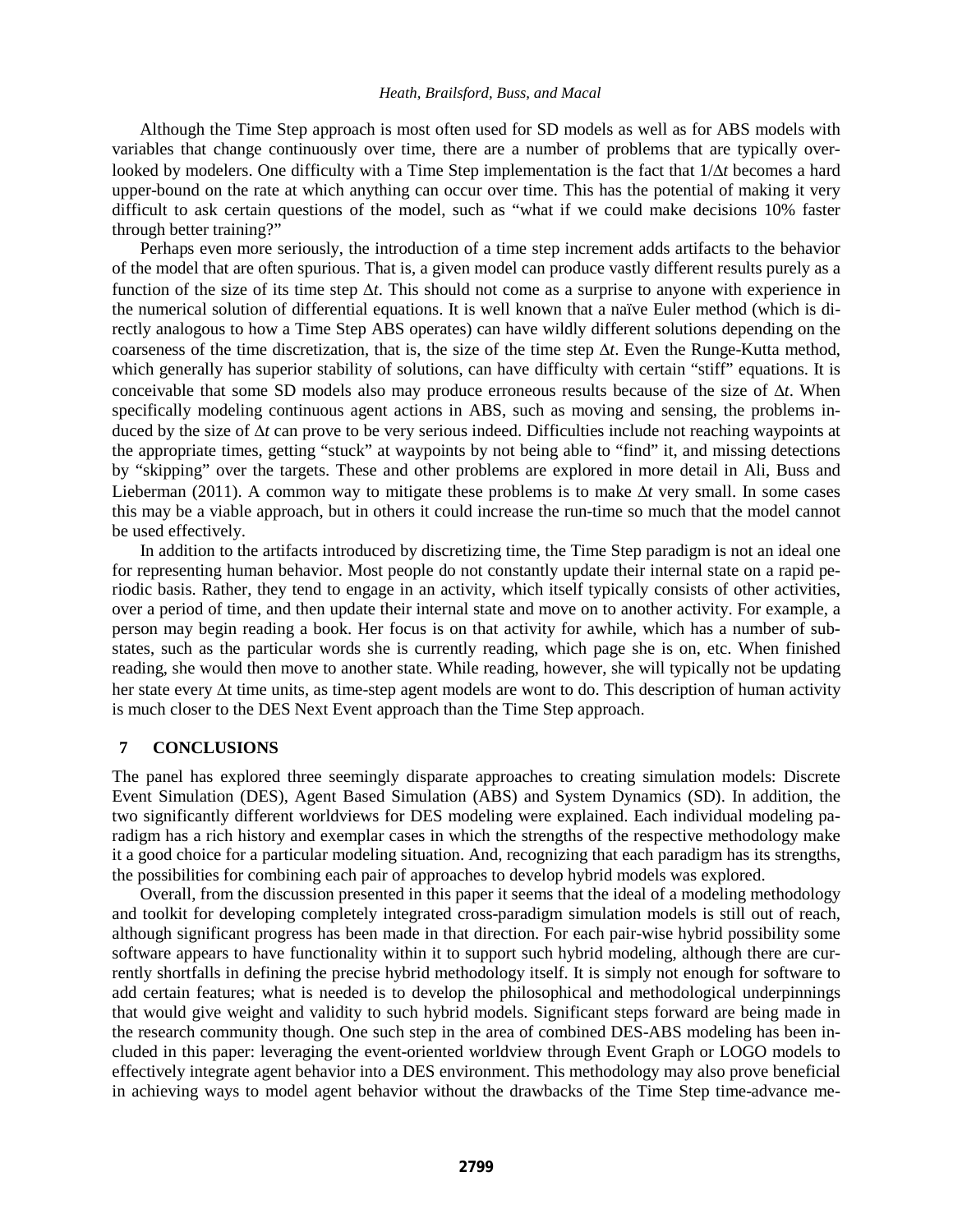Although the Time Step approach is most often used for SD models as well as for ABS models with variables that change continuously over time, there are a number of problems that are typically overlooked by modelers. One difficulty with a Time Step implementation is the fact that 1/∆*t* becomes a hard upper-bound on the rate at which anything can occur over time. This has the potential of making it very difficult to ask certain questions of the model, such as "what if we could make decisions 10% faster through better training?"

Perhaps even more seriously, the introduction of a time step increment adds artifacts to the behavior of the model that are often spurious. That is, a given model can produce vastly different results purely as a function of the size of its time step ∆*t*. This should not come as a surprise to anyone with experience in the numerical solution of differential equations. It is well known that a naïve Euler method (which is directly analogous to how a Time Step ABS operates) can have wildly different solutions depending on the coarseness of the time discretization, that is, the size of the time step ∆*t*. Even the Runge-Kutta method, which generally has superior stability of solutions, can have difficulty with certain "stiff" equations. It is conceivable that some SD models also may produce erroneous results because of the size of ∆*t*. When specifically modeling continuous agent actions in ABS, such as moving and sensing, the problems induced by the size of ∆*t* can prove to be very serious indeed. Difficulties include not reaching waypoints at the appropriate times, getting "stuck" at waypoints by not being able to "find" it, and missing detections by "skipping" over the targets. These and other problems are explored in more detail in Ali, Buss and Lieberman (2011). A common way to mitigate these problems is to make ∆*t* very small. In some cases this may be a viable approach, but in others it could increase the run-time so much that the model cannot be used effectively.

In addition to the artifacts introduced by discretizing time, the Time Step paradigm is not an ideal one for representing human behavior. Most people do not constantly update their internal state on a rapid periodic basis. Rather, they tend to engage in an activity, which itself typically consists of other activities, over a period of time, and then update their internal state and move on to another activity. For example, a person may begin reading a book. Her focus is on that activity for awhile, which has a number of substates, such as the particular words she is currently reading, which page she is on, etc. When finished reading, she would then move to another state. While reading, however, she will typically not be updating her state every ∆t time units, as time-step agent models are wont to do. This description of human activity is much closer to the DES Next Event approach than the Time Step approach.

# **7 CONCLUSIONS**

The panel has explored three seemingly disparate approaches to creating simulation models: Discrete Event Simulation (DES), Agent Based Simulation (ABS) and System Dynamics (SD). In addition, the two significantly different worldviews for DES modeling were explained. Each individual modeling paradigm has a rich history and exemplar cases in which the strengths of the respective methodology make it a good choice for a particular modeling situation. And, recognizing that each paradigm has its strengths, the possibilities for combining each pair of approaches to develop hybrid models was explored.

Overall, from the discussion presented in this paper it seems that the ideal of a modeling methodology and toolkit for developing completely integrated cross-paradigm simulation models is still out of reach, although significant progress has been made in that direction. For each pair-wise hybrid possibility some software appears to have functionality within it to support such hybrid modeling, although there are currently shortfalls in defining the precise hybrid methodology itself. It is simply not enough for software to add certain features; what is needed is to develop the philosophical and methodological underpinnings that would give weight and validity to such hybrid models. Significant steps forward are being made in the research community though. One such step in the area of combined DES-ABS modeling has been included in this paper: leveraging the event-oriented worldview through Event Graph or LOGO models to effectively integrate agent behavior into a DES environment. This methodology may also prove beneficial in achieving ways to model agent behavior without the drawbacks of the Time Step time-advance me-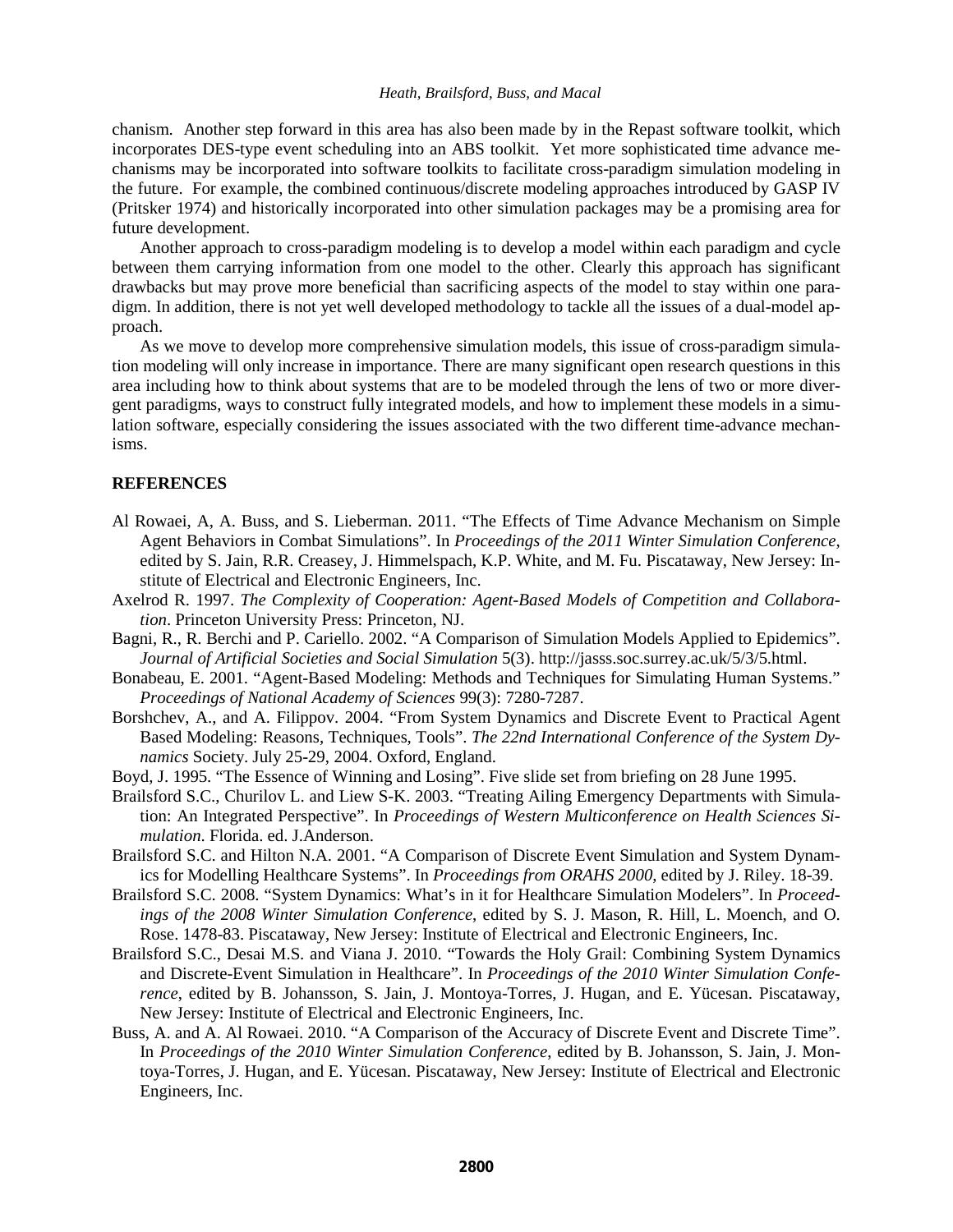chanism. Another step forward in this area has also been made by in the Repast software toolkit, which incorporates DES-type event scheduling into an ABS toolkit. Yet more sophisticated time advance mechanisms may be incorporated into software toolkits to facilitate cross-paradigm simulation modeling in the future. For example, the combined continuous/discrete modeling approaches introduced by GASP IV (Pritsker 1974) and historically incorporated into other simulation packages may be a promising area for future development.

Another approach to cross-paradigm modeling is to develop a model within each paradigm and cycle between them carrying information from one model to the other. Clearly this approach has significant drawbacks but may prove more beneficial than sacrificing aspects of the model to stay within one paradigm. In addition, there is not yet well developed methodology to tackle all the issues of a dual-model approach.

As we move to develop more comprehensive simulation models, this issue of cross-paradigm simulation modeling will only increase in importance. There are many significant open research questions in this area including how to think about systems that are to be modeled through the lens of two or more divergent paradigms, ways to construct fully integrated models, and how to implement these models in a simulation software, especially considering the issues associated with the two different time-advance mechanisms.

## **REFERENCES**

- Al Rowaei, A, A. Buss, and S. Lieberman. 2011. "The Effects of Time Advance Mechanism on Simple Agent Behaviors in Combat Simulations". In *Proceedings of the 2011 Winter Simulation Conference*, edited by S. Jain, R.R. Creasey, J. Himmelspach, K.P. White, and M. Fu. Piscataway, New Jersey: Institute of Electrical and Electronic Engineers, Inc.
- Axelrod R. 1997. *The Complexity of Cooperation: Agent-Based Models of Competition and Collaboration*. Princeton University Press: Princeton, NJ.
- Bagni, R., R. Berchi and P. Cariello. 2002. "A Comparison of Simulation Models Applied to Epidemics". *Journal of Artificial Societies and Social Simulation* 5(3). http://jasss.soc.surrey.ac.uk/5/3/5.html.
- Bonabeau, E. 2001. "Agent-Based Modeling: Methods and Techniques for Simulating Human Systems." *Proceedings of National Academy of Sciences* 99(3): 7280-7287.
- Borshchev, A., and A. Filippov. 2004. "From System Dynamics and Discrete Event to Practical Agent Based Modeling: Reasons, Techniques, Tools". *The 22nd International Conference of the System Dynamics* Society. July 25-29, 2004. Oxford, England.
- Boyd, J. 1995. "The Essence of Winning and Losing". Five slide set from briefing on 28 June 1995.
- Brailsford S.C., Churilov L. and Liew S-K. 2003. "Treating Ailing Emergency Departments with Simulation: An Integrated Perspective". In *Proceedings of Western Multiconference on Health Sciences Simulation*. Florida. ed. J.Anderson.
- Brailsford S.C. and Hilton N.A. 2001. "A Comparison of Discrete Event Simulation and System Dynamics for Modelling Healthcare Systems". In *Proceedings from ORAHS 2000*, edited by J. Riley. 18-39.
- Brailsford S.C. 2008. "System Dynamics: What's in it for Healthcare Simulation Modelers". In *Proceedings of the 2008 Winter Simulation Conference*, edited by S. J. Mason, R. Hill, L. Moench, and O. Rose. 1478-83. Piscataway, New Jersey: Institute of Electrical and Electronic Engineers, Inc.
- Brailsford S.C., Desai M.S. and Viana J. 2010. "Towards the Holy Grail: Combining System Dynamics and Discrete-Event Simulation in Healthcare". In *Proceedings of the 2010 Winter Simulation Conference*, edited by B. Johansson, S. Jain, J. Montoya-Torres, J. Hugan, and E. Yücesan. Piscataway, New Jersey: Institute of Electrical and Electronic Engineers, Inc.
- Buss, A. and A. Al Rowaei. 2010. "A Comparison of the Accuracy of Discrete Event and Discrete Time". In *Proceedings of the 2010 Winter Simulation Conference*, edited by B. Johansson, S. Jain, J. Montoya-Torres, J. Hugan, and E. Yücesan. Piscataway, New Jersey: Institute of Electrical and Electronic Engineers, Inc.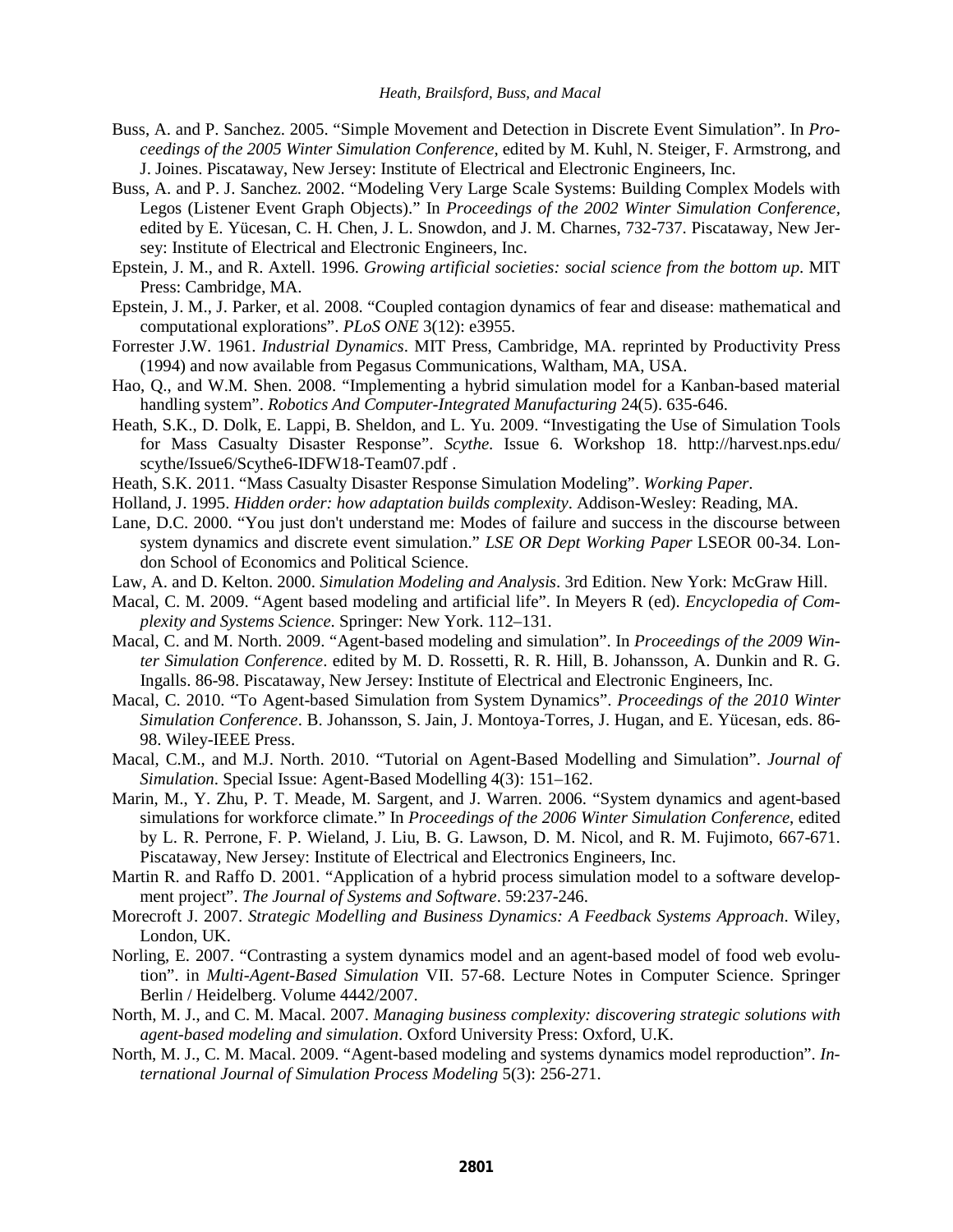- Buss, A. and P. Sanchez. 2005. "Simple Movement and Detection in Discrete Event Simulation". In *Proceedings of the 2005 Winter Simulation Conference*, edited by M. Kuhl, N. Steiger, F. Armstrong, and J. Joines. Piscataway, New Jersey: Institute of Electrical and Electronic Engineers, Inc.
- Buss, A. and P. J. Sanchez. 2002. "Modeling Very Large Scale Systems: Building Complex Models with Legos (Listener Event Graph Objects)." In *Proceedings of the 2002 Winter Simulation Conference,* edited by E. Yücesan, C. H. Chen, J. L. Snowdon, and J. M. Charnes, 732-737. Piscataway, New Jersey: Institute of Electrical and Electronic Engineers, Inc.
- Epstein, J. M., and R. Axtell. 1996. *Growing artificial societies: social science from the bottom up*. MIT Press: Cambridge, MA.
- Epstein, J. M., J. Parker, et al. 2008. "Coupled contagion dynamics of fear and disease: mathematical and computational explorations". *PLoS ONE* 3(12): e3955.
- Forrester J.W. 1961. *Industrial Dynamics*. MIT Press, Cambridge, MA. reprinted by Productivity Press (1994) and now available from Pegasus Communications, Waltham, MA, USA.
- Hao, Q., and W.M. Shen. 2008. "Implementing a hybrid simulation model for a Kanban-based material handling system". *Robotics And Computer-Integrated Manufacturing* 24(5). 635-646.
- Heath, S.K., D. Dolk, E. Lappi, B. Sheldon, and L. Yu. 2009. "Investigating the Use of Simulation Tools for Mass Casualty Disaster Response". *Scythe*. Issue 6. Workshop 18. http://harvest.nps.edu/ scythe/Issue6/Scythe6-IDFW18-Team07.pdf .
- Heath, S.K. 2011. "Mass Casualty Disaster Response Simulation Modeling". *Working Paper*.
- Holland, J. 1995. *Hidden order: how adaptation builds complexity*. Addison-Wesley: Reading, MA.
- Lane, D.C. 2000. "You just don't understand me: Modes of failure and success in the discourse between system dynamics and discrete event simulation." *LSE OR Dept Working Paper* LSEOR 00-34. London School of Economics and Political Science.
- Law, A. and D. Kelton. 2000. *Simulation Modeling and Analysis*. 3rd Edition. New York: McGraw Hill.
- Macal, C. M. 2009. "Agent based modeling and artificial life". In Meyers R (ed). *Encyclopedia of Complexity and Systems Science*. Springer: New York. 112–131.
- Macal, C. and M. North. 2009. "Agent-based modeling and simulation". In *Proceedings of the 2009 Winter Simulation Conference*. edited by M. D. Rossetti, R. R. Hill, B. Johansson, A. Dunkin and R. G. Ingalls. 86-98. Piscataway, New Jersey: Institute of Electrical and Electronic Engineers, Inc.
- Macal, C. 2010. "To Agent-based Simulation from System Dynamics". *Proceedings of the 2010 Winter Simulation Conference*. B. Johansson, S. Jain, J. Montoya-Torres, J. Hugan, and E. Yücesan, eds. 86- 98. Wiley-IEEE Press.
- Macal, C.M., and M.J. North. 2010. "Tutorial on Agent-Based Modelling and Simulation". *Journal of Simulation*. Special Issue: Agent-Based Modelling 4(3): 151–162.
- Marin, M., Y. Zhu, P. T. Meade, M. Sargent, and J. Warren. 2006. "System dynamics and agent-based simulations for workforce climate." In *Proceedings of the 2006 Winter Simulation Conference*, edited by L. R. Perrone, F. P. Wieland, J. Liu, B. G. Lawson, D. M. Nicol, and R. M. Fujimoto, 667-671. Piscataway, New Jersey: Institute of Electrical and Electronics Engineers, Inc.
- Martin R. and Raffo D. 2001. "Application of a hybrid process simulation model to a software development project". *The Journal of Systems and Software*. 59:237-246.
- Morecroft J. 2007. *Strategic Modelling and Business Dynamics: A Feedback Systems Approach*. Wiley, London, UK.
- Norling, E. 2007. "Contrasting a system dynamics model and an agent-based model of food web evolution". in *Multi-Agent-Based Simulation* VII. 57-68. Lecture Notes in Computer Science. Springer Berlin / Heidelberg. Volume 4442/2007.
- North, M. J., and C. M. Macal. 2007. *Managing business complexity: discovering strategic solutions with agent-based modeling and simulation*. Oxford University Press: Oxford, U.K.
- North, M. J., C. M. Macal. 2009. "Agent-based modeling and systems dynamics model reproduction". *International Journal of Simulation Process Modeling* 5(3): 256-271.